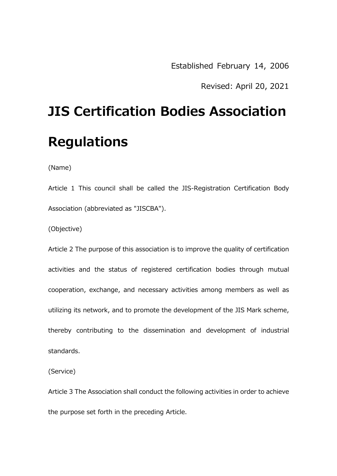Revised: April 20, 2021

## **JIS Certification Bodies Association Regulations**

(Name)

Article 1 This council shall be called the JIS-Registration Certification Body Association (abbreviated as "JISCBA").

(Objective)

Article 2 The purpose of this association is to improve the quality of certification activities and the status of registered certification bodies through mutual cooperation, exchange, and necessary activities among members as well as utilizing its network, and to promote the development of the JIS Mark scheme, thereby contributing to the dissemination and development of industrial standards.

(Service)

Article 3 The Association shall conduct the following activities in order to achieve the purpose set forth in the preceding Article.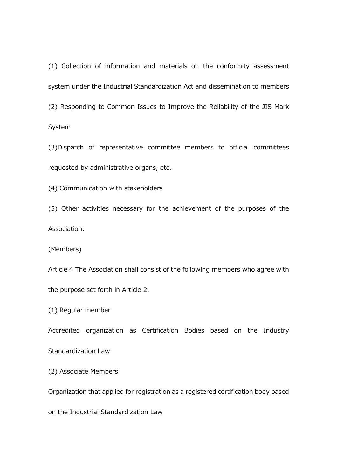(1) Collection of information and materials on the conformity assessment system under the Industrial Standardization Act and dissemination to members (2) Responding to Common Issues to Improve the Reliability of the JIS Mark System

(3)Dispatch of representative committee members to official committees requested by administrative organs, etc.

(4) Communication with stakeholders

(5) Other activities necessary for the achievement of the purposes of the Association.

(Members)

Article 4 The Association shall consist of the following members who agree with the purpose set forth in Article 2.

(1) Regular member

Accredited organization as Certification Bodies based on the Industry

Standardization Law

(2) Associate Members

Organization that applied for registration as a registered certification body based

on the Industrial Standardization Law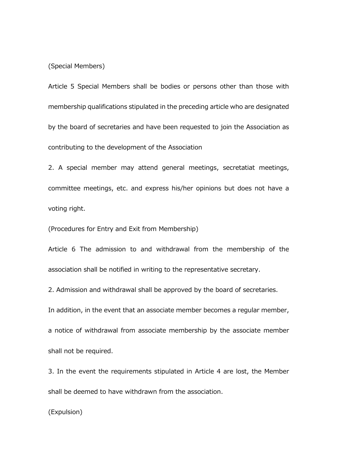(Special Members)

Article 5 Special Members shall be bodies or persons other than those with membership qualifications stipulated in the preceding article who are designated by the board of secretaries and have been requested to join the Association as contributing to the development of the Association

2. A special member may attend general meetings, secretatiat meetings, committee meetings, etc. and express his/her opinions but does not have a voting right.

(Procedures for Entry and Exit from Membership)

Article 6 The admission to and withdrawal from the membership of the association shall be notified in writing to the representative secretary.

2. Admission and withdrawal shall be approved by the board of secretaries.

In addition, in the event that an associate member becomes a regular member,

a notice of withdrawal from associate membership by the associate member shall not be required.

3. In the event the requirements stipulated in Article 4 are lost, the Member shall be deemed to have withdrawn from the association.

(Expulsion)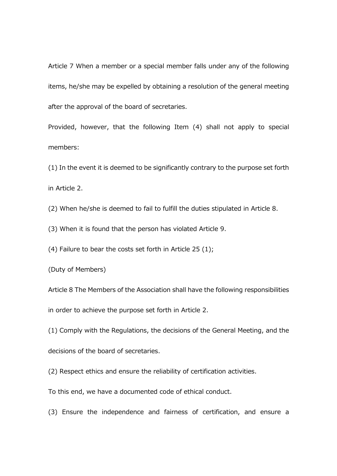Article 7 When a member or a special member falls under any of the following items, he/she may be expelled by obtaining a resolution of the general meeting after the approval of the board of secretaries.

Provided, however, that the following Item (4) shall not apply to special members:

(1) In the event it is deemed to be significantly contrary to the purpose set forth in Article 2.

(2) When he/she is deemed to fail to fulfill the duties stipulated in Article 8.

(3) When it is found that the person has violated Article 9.

(4) Failure to bear the costs set forth in Article 25 (1);

(Duty of Members)

Article 8 The Members of the Association shall have the following responsibilities in order to achieve the purpose set forth in Article 2.

(1) Comply with the Regulations, the decisions of the General Meeting, and the

decisions of the board of secretaries.

(2) Respect ethics and ensure the reliability of certification activities.

To this end, we have a documented code of ethical conduct.

(3) Ensure the independence and fairness of certification, and ensure a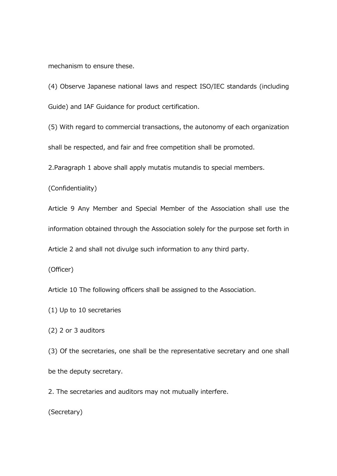mechanism to ensure these.

(4) Observe Japanese national laws and respect ISO/IEC standards (including Guide) and IAF Guidance for product certification.

(5) With regard to commercial transactions, the autonomy of each organization shall be respected, and fair and free competition shall be promoted.

2.Paragraph 1 above shall apply mutatis mutandis to special members.

(Confidentiality)

Article 9 Any Member and Special Member of the Association shall use the information obtained through the Association solely for the purpose set forth in

Article 2 and shall not divulge such information to any third party.

(Officer)

Article 10 The following officers shall be assigned to the Association.

(1) Up to 10 secretaries

(2) 2 or 3 auditors

(3) Of the secretaries, one shall be the representative secretary and one shall be the deputy secretary.

2. The secretaries and auditors may not mutually interfere.

(Secretary)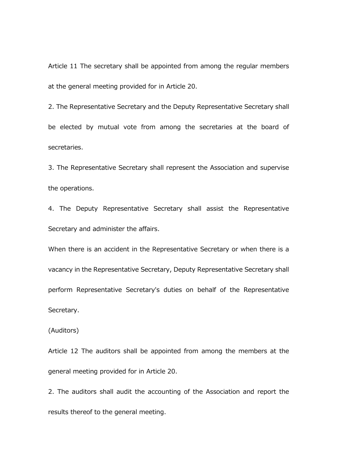Article 11 The secretary shall be appointed from among the regular members at the general meeting provided for in Article 20.

2. The Representative Secretary and the Deputy Representative Secretary shall be elected by mutual vote from among the secretaries at the board of secretaries.

3. The Representative Secretary shall represent the Association and supervise the operations.

4. The Deputy Representative Secretary shall assist the Representative Secretary and administer the affairs.

When there is an accident in the Representative Secretary or when there is a vacancy in the Representative Secretary, Deputy Representative Secretary shall perform Representative Secretary's duties on behalf of the Representative Secretary.

(Auditors)

Article 12 The auditors shall be appointed from among the members at the general meeting provided for in Article 20.

2. The auditors shall audit the accounting of the Association and report the results thereof to the general meeting.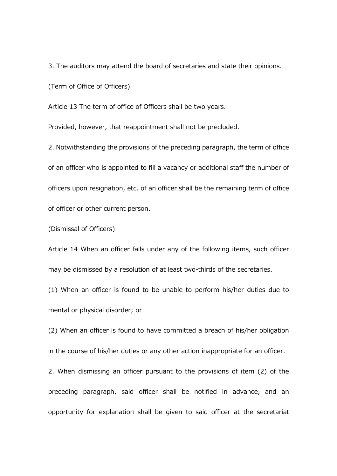3. The auditors may attend the board of secretaries and state their opinions.

(Term of Office of Officers)

Article 13 The term of office of Officers shall be two years.

Provided, however, that reappointment shall not be precluded.

2. Notwithstanding the provisions of the preceding paragraph, the term of office of an officer who is appointed to fill a vacancy or additional staff the number of officers upon resignation, etc. of an officer shall be the remaining term of office of officer or other current person.

(Dismissal of Officers)

Article 14 When an officer falls under any of the following items, such officer may be dismissed by a resolution of at least two-thirds of the secretaries.

(1) When an officer is found to be unable to perform his/her duties due to mental or physical disorder; or

(2) When an officer is found to have committed a breach of his/her obligation in the course of his/her duties or any other action inappropriate for an officer.

2. When dismissing an officer pursuant to the provisions of item (2) of the preceding paragraph, said officer shall be notified in advance, and an opportunity for explanation shall be given to said officer at the secretariat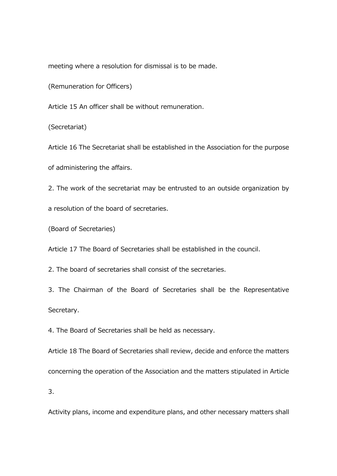meeting where a resolution for dismissal is to be made.

(Remuneration for Officers)

Article 15 An officer shall be without remuneration.

(Secretariat)

Article 16 The Secretariat shall be established in the Association for the purpose of administering the affairs.

2. The work of the secretariat may be entrusted to an outside organization by

a resolution of the board of secretaries.

(Board of Secretaries)

Article 17 The Board of Secretaries shall be established in the council.

2. The board of secretaries shall consist of the secretaries.

3. The Chairman of the Board of Secretaries shall be the Representative Secretary.

4. The Board of Secretaries shall be held as necessary.

Article 18 The Board of Secretaries shall review, decide and enforce the matters concerning the operation of the Association and the matters stipulated in Article

3.

Activity plans, income and expenditure plans, and other necessary matters shall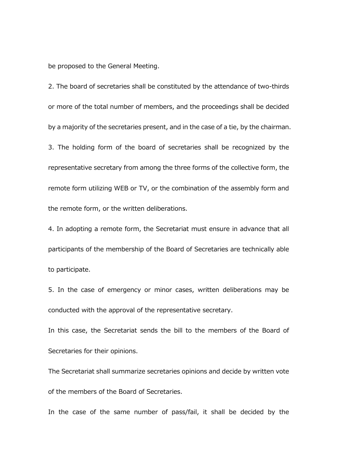be proposed to the General Meeting.

2. The board of secretaries shall be constituted by the attendance of two-thirds or more of the total number of members, and the proceedings shall be decided by a majority of the secretaries present, and in the case of a tie, by the chairman. 3. The holding form of the board of secretaries shall be recognized by the representative secretary from among the three forms of the collective form, the remote form utilizing WEB or TV, or the combination of the assembly form and the remote form, or the written deliberations.

4. In adopting a remote form, the Secretariat must ensure in advance that all participants of the membership of the Board of Secretaries are technically able to participate.

5. In the case of emergency or minor cases, written deliberations may be conducted with the approval of the representative secretary.

In this case, the Secretariat sends the bill to the members of the Board of Secretaries for their opinions.

The Secretariat shall summarize secretaries opinions and decide by written vote of the members of the Board of Secretaries.

In the case of the same number of pass/fail, it shall be decided by the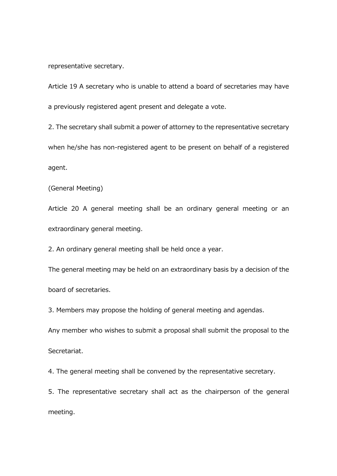representative secretary.

Article 19 A secretary who is unable to attend a board of secretaries may have a previously registered agent present and delegate a vote.

2. The secretary shall submit a power of attorney to the representative secretary when he/she has non-registered agent to be present on behalf of a registered agent.

(General Meeting)

Article 20 A general meeting shall be an ordinary general meeting or an extraordinary general meeting.

2. An ordinary general meeting shall be held once a year.

The general meeting may be held on an extraordinary basis by a decision of the board of secretaries.

3. Members may propose the holding of general meeting and agendas.

Any member who wishes to submit a proposal shall submit the proposal to the

Secretariat.

4. The general meeting shall be convened by the representative secretary.

5. The representative secretary shall act as the chairperson of the general meeting.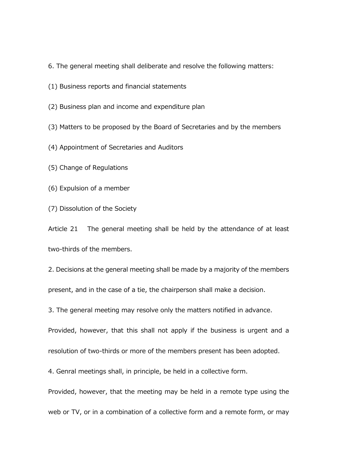- 6. The general meeting shall deliberate and resolve the following matters:
- (1) Business reports and financial statements
- (2) Business plan and income and expenditure plan
- (3) Matters to be proposed by the Board of Secretaries and by the members
- (4) Appointment of Secretaries and Auditors
- (5) Change of Regulations
- (6) Expulsion of a member
- (7) Dissolution of the Society

Article 21 The general meeting shall be held by the attendance of at least two-thirds of the members.

2. Decisions at the general meeting shall be made by a majority of the members present, and in the case of a tie, the chairperson shall make a decision.

3. The general meeting may resolve only the matters notified in advance.

Provided, however, that this shall not apply if the business is urgent and a

resolution of two-thirds or more of the members present has been adopted.

4. Genral meetings shall, in principle, be held in a collective form.

Provided, however, that the meeting may be held in a remote type using the web or TV, or in a combination of a collective form and a remote form, or may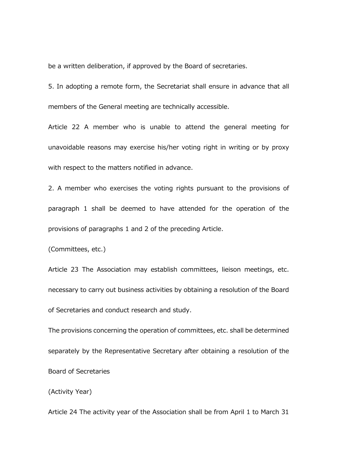be a written deliberation, if approved by the Board of secretaries.

5. In adopting a remote form, the Secretariat shall ensure in advance that all members of the General meeting are technically accessible.

Article 22 A member who is unable to attend the general meeting for unavoidable reasons may exercise his/her voting right in writing or by proxy with respect to the matters notified in advance.

2. A member who exercises the voting rights pursuant to the provisions of paragraph 1 shall be deemed to have attended for the operation of the provisions of paragraphs 1 and 2 of the preceding Article.

(Committees, etc.)

Article 23 The Association may establish committees, lieison meetings, etc. necessary to carry out business activities by obtaining a resolution of the Board of Secretaries and conduct research and study.

The provisions concerning the operation of committees, etc. shall be determined separately by the Representative Secretary after obtaining a resolution of the Board of Secretaries

(Activity Year)

Article 24 The activity year of the Association shall be from April 1 to March 31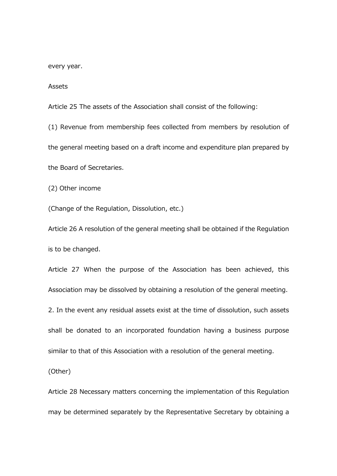every year.

Assets

Article 25 The assets of the Association shall consist of the following:

(1) Revenue from membership fees collected from members by resolution of the general meeting based on a draft income and expenditure plan prepared by the Board of Secretaries.

(2) Other income

(Change of the Regulation, Dissolution, etc.)

Article 26 A resolution of the general meeting shall be obtained if the Regulation is to be changed.

Article 27 When the purpose of the Association has been achieved, this Association may be dissolved by obtaining a resolution of the general meeting.

2. In the event any residual assets exist at the time of dissolution, such assets shall be donated to an incorporated foundation having a business purpose similar to that of this Association with a resolution of the general meeting.

(Other)

Article 28 Necessary matters concerning the implementation of this Regulation may be determined separately by the Representative Secretary by obtaining a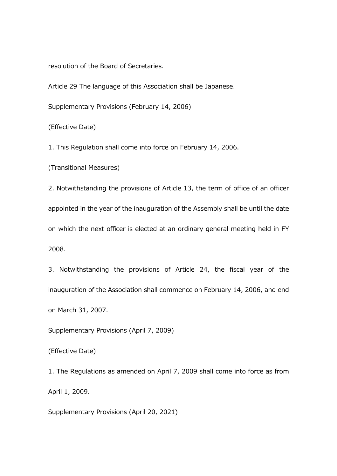resolution of the Board of Secretaries.

Article 29 The language of this Association shall be Japanese.

Supplementary Provisions (February 14, 2006)

(Effective Date)

1. This Regulation shall come into force on February 14, 2006.

(Transitional Measures)

2. Notwithstanding the provisions of Article 13, the term of office of an officer appointed in the year of the inauguration of the Assembly shall be until the date on which the next officer is elected at an ordinary general meeting held in FY 2008.

3. Notwithstanding the provisions of Article 24, the fiscal year of the inauguration of the Association shall commence on February 14, 2006, and end on March 31, 2007.

Supplementary Provisions (April 7, 2009)

(Effective Date)

1. The Regulations as amended on April 7, 2009 shall come into force as from April 1, 2009.

Supplementary Provisions (April 20, 2021)